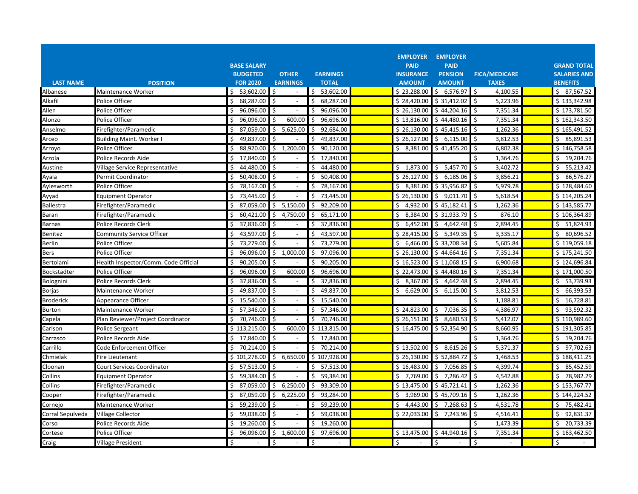|                  |                                      |                    |                                |                  |                                | <b>EMPLOYER</b>                 |                                       |                     |
|------------------|--------------------------------------|--------------------|--------------------------------|------------------|--------------------------------|---------------------------------|---------------------------------------|---------------------|
|                  |                                      | <b>BASE SALARY</b> |                                |                  | <b>EMPLOYER</b><br><b>PAID</b> | <b>PAID</b>                     |                                       | <b>GRAND TOTAL</b>  |
|                  |                                      | <b>BUDGETED</b>    | <b>OTHER</b>                   | <b>EARNINGS</b>  | <b>INSURANCE</b>               | <b>PENSION</b>                  | <b>FICA/MEDICARE</b>                  | <b>SALARIES AND</b> |
| <b>LAST NAME</b> | <b>POSITION</b>                      | <b>FOR 2020</b>    | <b>EARNINGS</b>                | <b>TOTAL</b>     | <b>AMOUNT</b>                  | <b>AMOUNT</b>                   | <b>TAXES</b>                          | <b>BENEFITS</b>     |
| Albanese         | Maintenance Worker                   | \$53,602.00        | Ś<br>$\overline{\phantom{a}}$  | Ś.<br>53,602.00  | \$23,288.00                    | \$6,576.97                      | Ś<br>4,100.55                         | \$7,567.52          |
| Alkafil          | Police Officer                       | 68,287.00          | Ŝ.                             | 68,287.00<br>Ś   | \$28,420.00                    | \$31,412.02                     | \$<br>5,223.96                        | \$133,342.98        |
| Allen            | Police Officer                       | 96,096.00<br>\$    | Ŝ.<br>$\overline{a}$           | 96,096.00<br>.\$ | \$26,130.00                    | \$44,204.16                     | \$<br>7,351.34                        | \$173,781.50        |
| Alonzo           | Police Officer                       | 96,096.00<br>\$    | Ŝ<br>600.00                    | 96,696.00<br>.\$ | \$13,816.00                    | \$44,480.16                     | \$<br>7,351.34                        | \$162,343.50        |
| Anselmo          | Firefighter/Paramedic                | 87,059.00<br>\$    | 5,625.00<br>Ŝ.                 | 92,684.00<br>.\$ | \$26,130.00                    | \$45,415.16                     | -\$<br>1,262.36                       | \$165,491.52        |
| Arceo            | <b>Building Maint. Worker I</b>      | 49,837.00<br>\$    |                                | 49,837.00<br>Ś   | \$26,127.00                    | \$6,115.00                      | \$<br>3,812.53                        | \$85,891.53         |
| Arroyo           | Police Officer                       | 88,920.00<br>\$    | \$<br>1,200.00                 | 90,120.00<br>\$  | \$3,381.00                     | \$41,455.20                     | \$<br>6,802.38                        | \$146,758.58        |
| Arzola           | Police Records Aide                  | 17,840.00<br>S     |                                | 17,840.00        |                                |                                 | \$<br>1,364.76                        | 19,204.76<br>Ş.     |
| Austine          | Village Service Representative       | 44,480.00<br>Ŝ     | Ŝ.                             | 44,480.00<br>Ś   | Ŝ.<br>1,873.00                 | \$5,457.70                      | $\boldsymbol{\mathsf{S}}$<br>3,402.72 | Ś.<br>55,213.42     |
| Ayala            | Permit Coordinator                   | 50,408.00<br>\$    | Ś                              | \$<br>50,408.00  | \$26,127.00                    | \$6,185.06                      | \$<br>3,856.21                        | \$86,576.27         |
| Aylesworth       | Police Officer                       | 78,167.00<br>Ŝ.    | Ŝ.                             | 78,167.00<br>Ś.  | \$3,381.00                     | \$35,956.82                     | \$<br>5,979.78                        | \$128,484.60        |
| Ayyad            | <b>Equipment Operator</b>            | 73,445.00<br>\$    | \$                             | 73,445.00<br>\$. | \$26,130.00                    | \$9,011.70                      | $\zeta$<br>5,618.54                   | \$114,205.24        |
| Ballestra        | Firefighter/Paramedic                | 87,059.00<br>S.    | 5,150.00<br>Ŝ.                 | 92.209.00<br>Ŝ.  | \$4,932.00                     | \$45,182.41                     | Ŝ.<br>1,262.36                        | \$143,585.77        |
| Baran            | Firefighter/Paramedic                | 60,421.00<br>\$    | \$<br>4,750.00                 | 65,171.00<br>\$  | \$3,384.00                     | \$31,933.79                     | $\mathsf{\hat{S}}$<br>876.10          | \$106,364.89        |
| Barnas           | Police Records Clerk                 | 37,836.00<br>\$    | \$                             | 37,836.00<br>Ś   | \$6,452.00                     | \$4,642.48                      | \$<br>2,894.45                        | \$1,824.93          |
| Benitez          | <b>Community Service Officer</b>     | 43,597.00<br>S     | \$                             | 43,597.00<br>Ś   | \$28,415.00                    | 5,349.35<br>\$                  | 3,335.17<br>\$                        | 80,696.52<br>\$     |
| Berlin           | Police Officer                       | 73,279.00<br>Ŝ.    | Ŝ.                             | 73,279.00<br>ς   | \$6,466.00                     | \$33,708.34                     | \$<br>5,605.84                        | \$119,059.18        |
| Bers             | Police Officer                       | 96,096.00<br>Ś.    | Ś.<br>1,000.00                 | 97,096.00<br>Ś.  | \$26,130.00                    | \$44,664.16                     | $\mathsf{\hat{S}}$<br>7,351.34        | \$175,241.50        |
| Bertolami        | Health Inspector/Comm. Code Official | 90,205.00<br>\$    | Ŝ.                             | 90,205.00<br>\$  | \$16,523.00                    | \$11,068.15                     | \$<br>6,900.68                        | \$124,696.84        |
| Bockstadter      | Police Officer                       | 96,096.00<br>\$    | Ŝ.<br>600.00                   | 96,696.00<br>Ś.  | \$22,473.00                    | \$44,480.16                     | \$<br>7,351.34                        | \$171,000.50        |
| Bolognini        | Police Records Clerk                 | 37,836.00<br>\$    | Ŝ.                             | 37,836.00<br>Ś   | \$<br>8,367.00                 | 4,642.48<br>$\ddot{\mathsf{S}}$ | \$<br>2,894.45                        | 53,739.93<br>\$     |
| Borjas           | Maintenance Worker                   | 49,837.00<br>S     | Ŝ.                             | 49,837.00<br>S   | \$<br>6,629.00                 | \$<br>6,115.00                  | \$<br>3,812.53                        | Ś.<br>66,393.53     |
| Broderick        | Appearance Officer                   | 15,540.00<br>\$    | Ś                              | Ś<br>15,540.00   |                                |                                 | \$<br>1,188.81                        | \$<br>16,728.81     |
| Burton           | <b>Maintenance Worker</b>            | 57,346.00<br>\$    | \$                             | \$<br>57,346.00  | \$24,823.00                    | \$7,036.35                      | \$<br>4,386.97                        | \$93,592.32         |
| Capela           | Plan Reviewer/Project Coordinator    | 70,746.00<br>\$    | Ś                              | 70,746.00<br>S   | \$26,151.00                    | \$<br>8,680.53                  | \$<br>5,412.07                        | \$110,989.60        |
| Carlson          | <b>Police Sergeant</b>               | \$113,215.00       | \$<br>600.00                   | \$113,815.00     | \$16,475.00                    | \$52,354.90                     | $\mathsf{\hat{S}}$<br>8,660.95        | \$191,305.85        |
| Carrasco         | Police Records Aide                  | \$17,840.00        | \$<br>$\sim$                   | \$17,840.00      |                                |                                 | \$<br>1,364.76                        | \$19,204.76         |
| Carrillo         | Code Enforcement Officer             | Ś.<br>70,214.00    | Ŝ.                             | \$<br>70,214.00  | \$13,502.00                    | \$8,615.26                      | \$<br>5,371.37                        | \$97,702.63         |
| Chmielak         | Fire Lieutenant                      | \$101,278.00       | \$<br>6,650.00                 | \$107,928.00     | \$26,130.00                    | \$52,884.72                     | \$<br>1,468.53                        | \$188,411.25        |
| Cloonan          | <b>Court Services Coordinator</b>    | 57,513.00<br>\$    | Ŝ.                             | 57,513.00<br>Ś   | \$16,483.00                    | \$7,056.85                      | 4,399.74<br>Ŝ.                        | 85,452.59<br>\$     |
| Collins          | <b>Equipment Operator</b>            | 59,384.00<br>Ŝ.    | Ŝ.<br>$\overline{\phantom{a}}$ | 59,384.00<br>Ś.  | \$7,769.00                     | \$7,286.42                      | \$<br>4,542.88                        | \$78,982.29         |
| Collins          | Firefighter/Paramedic                | 87,059.00<br>S.    | 6,250.00<br>Ŝ.                 | 93,309.00<br>Ś   | \$13,475.00                    | \$45,721.41                     | \$<br>1,262.36                        | \$153,767.77        |
| Cooper           | Firefighter/Paramedic                | 87,059.00<br>\$    | 6,225.00<br>\$                 | 93,284.00<br>Ś.  | \$3,969.00                     | \$45,709.16                     | \$<br>1,262.36                        | \$144,224.52        |
| Cornejo          | Maintenance Worker                   | 59,239.00<br>Ś     | Ŝ.                             | 59,239.00<br>Ś   | 4,443.00<br>Ś.                 | $\mathsf{S}$<br>7,268.63        | \$<br>4,531.78                        | 75,482.41<br>\$     |
| Corral Sepulveda | <b>Village Collector</b>             | Ś.<br>59,038.00    | Ś.                             | 59,038.00<br>Ś.  | \$22,033.00                    | $\mathsf{S}$<br>7,243.96        | $\zeta$<br>4,516.41                   | \$92,831.37         |
| Corso            | Police Records Aide                  | \$<br>19,260.00    | Ś                              | Ś.<br>19,260.00  |                                |                                 | \$<br>1,473.39                        | \$<br>20,733.39     |
| Cortese          | Police Officer                       | 96,096.00<br>\$    | \$<br>1,600.00                 | 97,696.00<br>Ŝ.  | \$13,475.00                    | \$44,940.16                     | $\ddot{\mathsf{S}}$<br>7,351.34       | \$163,462.50        |
| Craig            | Village President                    | \$                 | Ś                              |                  | \$                             | \$                              | \$                                    | \$                  |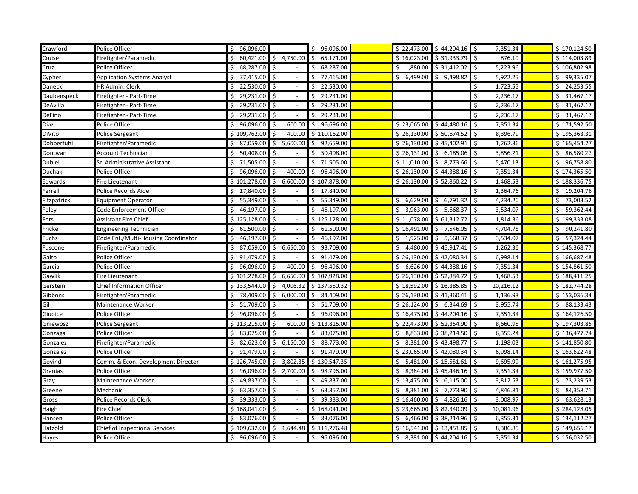| Crawford      | Police Officer                        | \$96,096.00        |                                | \$96,096.00      |                | $$22,473.00$ $$44,204.16$ \$ | 7,351.34        | \$170,124.50    |
|---------------|---------------------------------------|--------------------|--------------------------------|------------------|----------------|------------------------------|-----------------|-----------------|
| Cruise        | Firefighter/Paramedic                 | 60,421.00          | 4,750.00<br>Ŝ.                 | 65,171.00        | \$16,023.00    | \$31,933.79                  | 876.10<br>Ŝ.    | \$114,003.89    |
| Cruz          | Police Officer                        | 68,287.00<br>Ŝ.    | Ś                              | 68,287.00        | \$1,880.00     | \$31,412.02                  | 5,223.96<br>Ś   | \$106,802.98    |
| Cypher        | <b>Application Systems Analyst</b>    | 77,415.00 \$       |                                | 77,415.00        | \$6,499.00     | \$<br>9,498.82               | 5,922.25<br>Ś   | \$99,335.07     |
| Danecki       | HR Admin. Clerk                       | 22,530.00<br>\$    | l\$                            | 22,530.00        |                |                              | 1,723.55<br>\$  | \$24,253.55     |
| Daubenspeck   | Firefighter - Part-Time               | 29,231.00          | \$                             | 29,231.00        |                |                              | 2,236.17<br>S   | 31,467.17<br>\$ |
| DeAvilla      | Firefighter - Part-Time               | 29,231.00 \$<br>Ś. |                                | 29,231.00        |                |                              | Ś<br>2,236.17   | 31,467.17<br>\$ |
| DeFino        | Firefighter - Part-Time               | 29,231.00 \$       | $\overline{\phantom{a}}$       | 29,231.00        |                |                              | 2,236.17<br>Ś   | \$31,467.17     |
| Diaz          | Police Officer                        | \$96,096.00        | -\$<br>600.00                  | 96,696.00<br>Ś.  | \$23,065.00    | \$44,480.16                  | 7,351.34<br>\$  | \$171,592.50    |
| DiVito        | Police Sergeant                       | \$109,762.00       | 400.00<br>Ŝ.                   | \$110,162.00     | \$26,130.00    | \$50,674.52                  | 8,396.79<br>Ś   | \$195,363.31    |
| Dobberfuhl    | Firefighter/Paramedic                 | 87,059.00<br>Ŝ.    | 5,600.00<br>Ś.                 | 92,659.00        | \$26,130.00    | \$45,402.91                  | 1,262.36<br>Ś   | \$165,454.27    |
| Donovan       | Account Technician I                  | Ŝ.<br>50,408.00    | Ś.                             | 50,408.00        | \$26,131.00    | Ŝ.<br>6,185.06               | 3,856.21<br>Ś   | \$86,580.27     |
| <b>Dubiel</b> | Sr. Administrative Assistant          | 71,505.00          | \$                             | 71,505.00        | \$11,010.00    | 8,773.66<br>Ś.               | 5,470.13<br>\$  | \$96,758.80     |
| Duchak        | Police Officer                        | \$96,096.00        | \$<br>400.00                   | \$96,496.00      | \$26,130.00    | \$44,388.16                  | \$<br>7,351.34  | \$174,365.50    |
| Edwards       | Fire Lieutenant                       | \$101,278.00       | \$<br>6,600.00                 | \$107,878.00     | \$26,130.00    | \$ 52,860.22                 | 1,468.53<br>\$  | \$188,336.75    |
| Ferrell       | Police Records Aide                   | \$17,840.00        | Ŝ.                             | 17,840.00<br>Ś.  |                |                              | 1,364.76<br>Ś   | \$19,204.76     |
| Fitzpatrick   | <b>Equipment Operator</b>             | \$55,349.00        | Ŝ.<br>$\overline{\phantom{a}}$ | 55,349.00<br>Ś.  | \$6,629.00     | \$6,791.32                   | 4,234.20<br>Ś   | \$73,003.52     |
| Foley         | Code Enforcement Officer              | 46,197.00<br>Ś.    | Ŝ.                             | 46,197.00        | \$3,963.00     | 5,668.37<br>Ŝ.               | 3,534.07<br>Ś   | \$59,362.44     |
| Fors          | <b>Assistant Fire Chief</b>           | \$125,128.00       | \$                             | \$125,128.00     | \$11,078.00    | \$61,312.72                  | 1,814.36<br>\$  | \$199,333.08    |
| Fricke        | Engineering Technician                | 61,500.00<br>Ŝ.    | Ŝ.                             | 61,500.00        | \$16,491.00    | 7,546.05<br>Ŝ.               | 4,704.75        | 90,241.80<br>\$ |
| Fuchs         | Code Enf./Multi-Housing Coordinator   | 46,197.00<br>Ś.    | Ś                              | 46,197.00        | \$1,925.00     | Ŝ.<br>5,668.37               | 3,534.07<br>Ś   | \$57,324.44     |
| Fuscone       | Firefighter/Paramedic                 | 87,059.00          | 6,650.00<br>\$                 | 93,709.00        | 4,480.00<br>\$ | \$45,917.41                  | 1,262.36        | \$145,368.77    |
| Galto         | Police Officer                        | 91,479.00<br>\$    | \$                             | 91,479.00        | \$26,130.00    | \$42,080.34                  | \$<br>6,998.14  | \$166,687.48    |
| Garcia        | Police Officer                        | 96,096.00<br>\$    | 400.00<br>\$                   | 96,496.00<br>\$. | \$6,626.00     | \$44,388.16                  | 7,351.34<br>\$  | \$154,861.50    |
| Gawlik        | Fire Lieutenant                       | \$101,278.00       | Ś.<br>6,650.00                 | \$107,928.00     | \$26,130.00    | \$52,884.72                  | 1,468.53<br>S   | \$188,411.25    |
| Gerstein      | <b>Chief Information Officer</b>      | \$133,544.00       | 4,006.32                       | \$137,550.32     | \$18,592.00    | \$16,385.85                  | 10,216.12<br>S  | \$182,744.28    |
| Gibbons       | Firefighter/Paramedic                 | 78,409.00          | 6,000.00                       | 84,409.00        | \$26,130.00    | \$41,360.41                  | 1,136.93<br>Ś   | \$153,036.34    |
| Gil           | Maintenance Worker                    | 51,709.00<br>Ś.    | Ś.                             | 51,709.00        | \$26,124.00    | \$6,344.69                   | 3,955.74<br>Ś   | \$88,133.43     |
| Giudice       | Police Officer                        | 96,096.00<br>\$    | \$                             | 96,096.00        | \$16,475.00    | \$44,204.16                  | 7,351.34        | \$164,126.50    |
| Gniewosz      | Police Sergeant                       | \$113,215.00       | 600.00<br>Ŝ.                   | \$113,815.00     | \$22,473.00    | \$52,354.90                  | 8,660.95<br>Ś   | \$197,303.85    |
| Gonzaga       | Police Officer                        | 83,075.00 \$       |                                | 83,075.00        | \$8,833.00     | \$38,214.50                  | Ś<br>6,355.24   | \$136,477.74    |
| Gonzalez      | Firefighter/Paramedic                 | 82,623.00<br>\$    | \$6,150.00                     | 88,773.00<br>\$  | \$3,381.00     | \$43,498.77                  | \$<br>1,198.03  | \$141,850.80    |
| Gonzalez      | Police Officer                        | 91,479.00<br>\$    | l\$                            | 91,479.00        | \$23,065.00    | \$42,080.34                  | 6,998.14<br>\$  | \$163,622.48    |
| Govind        | Comm. & Econ. Development Director    | \$126,745.00       | Ś.<br>3,802.35                 | \$130,547.35     | \$5,481.00     | \$15,551.61                  | 9,695.99<br>\$. | \$161,275.95    |
| Granias       | Police Officer                        | 96,096.00          | 2,700.00<br>Ś.                 | 98,796.00<br>S   | \$3,384.00     | \$45,446.16                  | 7,351.34<br>Ś   | \$159,977.50    |
| Gray          | Maintenance Worker                    | 49,837.00          |                                | 49,837.00        | \$13,475.00    | 6,115.00<br>Ś.               | 3,812.53        | \$73,239.53     |
| Greene        | Mechanic                              | 63,357.00<br>Ś.    | Ŝ.                             | 63,357.00        | \$3,381.00     | Ŝ.<br>7,773.90               | 4,846.81<br>Ś   | \$4,358.71      |
| Gross         | Police Records Clerk                  | 39,333.00          | l\$                            | 39,333.00        | \$16,460.00    | 4,826.16<br>Ŝ.               | 3,008.97<br>Ś   | 63,628.13<br>\$ |
| Haigh         | Fire Chief                            | \$168,041.00       | l s                            | \$168,041.00     | \$23,665.00    | \$82,340.09                  | 10,081.96<br>Ś  | \$284,128.05    |
| Hansen        | Police Officer                        | 83,076.00 \$       |                                | 83,076.00        | \$6,466.00     | \$38,214.96                  | Ś<br>6,355.31   | \$134,112.27    |
| Hatzold       | <b>Chief of Inspectional Services</b> | \$109,632.00       | \$1,644.48                     | \$111,276.48     | \$16,541.00    | \$13,451.85                  | Ś<br>8,386.85   | \$149,656.17    |
| Hayes         | Police Officer                        | $$96,096.00$ \$    | $\sim$                         | 96,096.00<br>Ś.  |                | $$3,381.00 \$44,204.16$      | \$<br>7,351.34  | \$156,032.50    |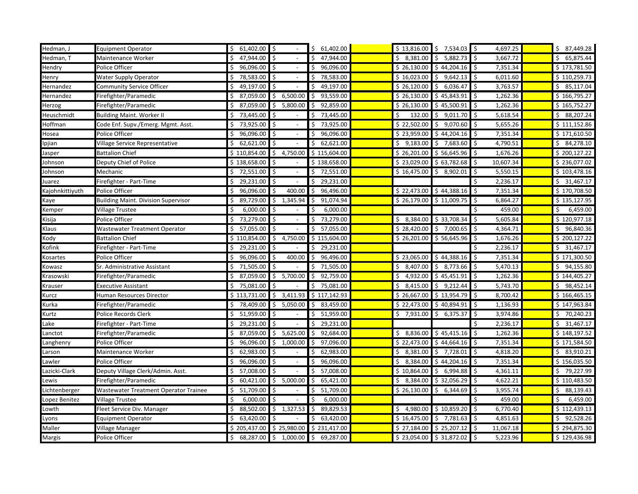| Hedman, J       | <b>Equipment Operator</b>                    | $$61,402.00$ \$    |                                | 61,402.00<br>Ŝ. |                 | $$13,816.00 \quad $7,534.03 \quad $$$ | 4,697.25        | \$7,449.28      |
|-----------------|----------------------------------------------|--------------------|--------------------------------|-----------------|-----------------|---------------------------------------|-----------------|-----------------|
| Hedman, T       | Maintenance Worker                           | 47,944.00          | Ŝ.                             | 47,944.00       | 8,381.00<br>Ś.  | 5,882.73<br>Ŝ.                        | 3,667.72<br>Ś   | 65,875.44<br>\$ |
| Hendry          | Police Officer                               | Ś.<br>96,096.00    | Ŝ.                             | 96,096.00       | \$26,130.00     | \$44,204.16                           | 7,351.34<br>Ś   | \$173,781.50    |
| Henry           | Water Supply Operator                        | 78,583.00 \$       |                                | 78,583.00       | \$16,023.00     | 9,642.13<br>Ŝ.                        | 6,011.60<br>\$  | \$110,259.73    |
| Hernandez       | Community Service Officer                    | 49,197.00<br>\$    | l \$                           | 49,197.00       | \$26,120.00     | \$<br>6,036.47                        | 3,763.57<br>\$  | \$85,117.04     |
| Hernandez       | Firefighter/Paramedic                        | 87,059.00          | 6,500.00<br>\$                 | 93,559.00       | \$26,130.00     | \$45,843.91                           | 1,262.36        | \$166,795.27    |
| Herzog          | Firefighter/Paramedic                        | 87,059.00<br>Ś.    | \$<br>5,800.00                 | 92,859.00<br>Ŝ. | \$26,130.00     | \$45,500.91                           | \$<br>1,262.36  | \$165,752.27    |
| Heuschmidt      | <b>Building Maint. Worker II</b>             | 73,445.00          | \$<br>$\overline{\phantom{a}}$ | 73,445.00<br>Ś. | \$<br>132.00    | \$9,011.70                            | \$<br>5,618.54  | \$88,207.24     |
| Hoffman         | Code Enf. Supv./Emerg. Mgmt. Asst.           | 73,925.00 \$<br>Ś. |                                | 73,925.00<br>Ś. | \$22,502.00     | \$9,070.60                            | 5,655.26<br>Ŝ   | \$111,152.86    |
| Hosea           | Police Officer                               | 96,096.00          | \$                             | 96,096.00       | \$23,959.00     | \$44,204.16                           | 7,351.34<br>Ś   | \$171,610.50    |
| Ipjian          | Village Service Representative               | 62,621.00<br>Ŝ     | Ś.                             | 62,621.00       | 9,183.00<br>Ŝ.  | 7,683.60<br>\$                        | 4,790.51<br>S   | \$4,278.10      |
| Jasper          | <b>Battalion Chief</b>                       | \$110,854.00       | 4,750.00<br>Ś.                 | \$115,604.00    | \$26,201.00     | \$56,645.96                           | 1,676.26<br>S   | \$200,127.22    |
| Johnson         | Deputy Chief of Police                       | \$138,658.00       |                                | \$138,658.00    | \$23,029.00     | \$63,782.68                           | 10,607.34       | \$236,077.02    |
| Johnson         | Mechanic                                     | 72,551.00 \$<br>\$ |                                | 72,551.00       | \$16,475.00     | \$<br>8,902.01                        | Ś<br>5,550.15   | \$103,478.16    |
| Juarez          | Firefighter - Part-Time                      | 29,231.00 \$       |                                | 29,231.00       |                 |                                       | 2,236.17        | \$31,467.17     |
| Kajohnkittiyuth | Police Officer                               | 96,096.00<br>\$    | Ś<br>400.00                    | 96,496.00<br>\$ | \$22,473.00     | \$44,388.16                           | \$<br>7,351.34  | \$170,708.50    |
| Kaye            | <b>Building Maint. Division Supervisor</b>   | 89,729.00<br>Ś.    | \$<br>1,345.94                 | 91,074.94       | \$26,179.00     | \$11,009.75                           | Ś<br>6,864.27   | \$135,127.95    |
| Kemper          | <b>Village Trustee</b>                       | 6,000.00<br>Ś      | \$                             | 6,000.00        |                 |                                       | 459.00<br>Ś     | \$<br>6,459.00  |
| Kisija          | Police Officer                               | 73,279.00<br>\$    | \$                             | 73,279.00       | \$3,384.00      | \$33,708.34                           | 5,605.84<br>\$  | \$120,977.18    |
| Klaus           | <b>Wastewater Treatment Operator</b>         | 57,055.00<br>Ś.    | Ś                              | 57,055.00       | \$28,420.00     | \$7,000.65                            | 4,364.71<br>ς   | 96,840.36<br>\$ |
| Kody            | <b>Battalion Chief</b>                       | \$110,854.00       | 4,750.00<br>Ś.                 | \$115,604.00    | \$26,201.00     | \$56,645.96                           | Ś<br>1,676.26   | \$200,127.22    |
| Kofink          | Firefighter - Part-Time                      | 29,231.00          |                                | 29,231.00       |                 |                                       | 2,236.17        | \$31,467.17     |
| Kosartes        | Police Officer                               | 96,096.00<br>Ś.    | l \$<br>400.00                 | 96,496.00       | \$23,065.00     | \$44,388.16                           | \$<br>7,351.34  | \$171,300.50    |
| Kowasz          | Sr. Administrative Assistant                 | 71,505.00          | l \$                           | 71,505.00       | 8,407.00<br>\$. | \$3,773.66                            | Ś<br>5,470.13   | \$94,155.80     |
| Krasowski       | Firefighter/Paramedic                        | 87,059.00<br>Ŝ.    | 5,700.00<br>Ŝ.                 | 92,759.00<br>Ś. | Ś.<br>4,932.00  | \$45,451.91                           | 1,262.36<br>Ś   | \$144,405.27    |
| Krauser         | <b>Executive Assistant</b>                   | \$75,081.00        |                                | 75,081.00<br>Ś. | \$3,415.00      | \$9,212.44                            | 5,743.70<br>Ś   | \$98,452.14     |
| Kurcz           | Human Resources Director                     | \$113,731.00       | 3,411.93<br>\$                 | \$117,142.93    | \$26,667.00     | \$13,954.79                           | 8,700.42<br>Ś   | \$166,465.15    |
| Kurka           | Firefighter/Paramedic                        | 78,409.00          | Ś.<br>5,050.00                 | 83,459.00       | \$22,473.00     | \$40,894.91                           | 1,136.93<br>Ś   | \$147,963.84    |
| Kurtz           | Police Records Clerk                         | 51,959.00<br>\$    | Ś.                             | 51,959.00       | 7,931.00<br>Ś.  | \$<br>6,375.37                        | 3,974.86<br>Ś   | \$<br>70,240.23 |
| Lake            | Firefighter - Part-Time                      | 29,231.00<br>Ŝ.    | Ś.                             | 29,231.00       |                 |                                       | 2,236.17<br>Ś   | \$31,467.17     |
| Lanctot         | Firefighter/Paramedic                        | 87,059.00          | 5,625.00<br>\$                 | 92,684.00       | \$8,836.00      | \$45,415.16                           | 1,262.36<br>Ś   | \$148,197.52    |
| Langhenry       | Police Officer                               | 96,096.00<br>Ŝ.    | \$<br>1,000.00                 | 97,096.00<br>S  | \$22,473.00     | \$44,664.16                           | \$<br>7,351.34  | \$171,584.50    |
| Larson          | Maintenance Worker                           | 62,983.00 \$       |                                | 62,983.00       | 8,381.00<br>\$  | \$<br>7,728.01                        | Ś<br>4,818.20   | \$3,910.21      |
| Lawler          | Police Officer                               | 96,096.00          | l \$                           | 96,096.00       | \$3,384.00      | \$44,204.16                           | Ś<br>7,351.34   | \$156,035.50    |
| Lazicki-Clark   | Deputy Village Clerk/Admin. Asst.            | 57,008.00          | \$<br>$\overline{\phantom{a}}$ | 57,008.00<br>Ś  | \$10,864.00     | \$6,994.88                            | 4,361.11<br>Ś   | \$79,227.99     |
| Lewis           | Firefighter/Paramedic                        | 60,421.00<br>\$    | \$5,000.00                     | 65,421.00<br>Ś. | \$3,384.00      | \$32,056.29                           | 4,622.21<br>Ś   | \$110,483.50    |
| Lichtenberger   | <b>Wastewater Treatment Operator Trainee</b> | 51,709.00<br>Ŝ.    | Ś                              | 51,709.00       | \$26,130.00     | Ś.<br>6,344.69                        | 3,955.74<br>Ŝ   | \$88,139.43     |
| Lopez Benitez   | <b>Village Trustee</b>                       | 6,000.00<br>Ŝ.     | Ś.                             | 6,000.00        |                 |                                       | 459.00<br>S     | 6,459.00<br>\$  |
| Lowth           | Fleet Service Div. Manager                   | Ś.<br>88,502.00    | Ś.<br>1,327.53                 | 89,829.53       | \$4,980.00      | \$10,859.20                           | 6,770.40<br>Ś   | \$112,439.13    |
| Lyons           | <b>Equipment Operator</b>                    | 63,420.00<br>Ś     |                                | 63,420.00       | \$16,475.00     | 7,781.63<br>\$                        | 4,851.63<br>Ś   | \$92,528.26     |
| Maller          | Village Manager                              | \$205,437.00       | \$25,980.00                    | \$231,417.00    | \$27,184.00     | \$25,207.12                           | \$<br>11,067.18 | \$294,875.30    |
| Margis          | Police Officer                               |                    | 68,287.00 \$ 1,000.00          | \$<br>69,287.00 |                 | $$23,054.00$ $$31,872.02$             | 5,223.96<br>Ś   | \$129,436.98    |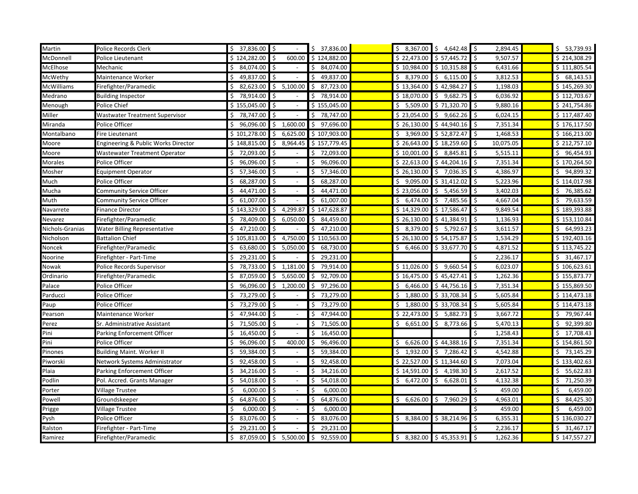| Martin          | Police Records Clerk                 | \$37,836.00         |                                | \$37,836.00     |             | $$8,367.00 \$4,642.48 \$$ | 2,894.45        | \$53,739.93             |
|-----------------|--------------------------------------|---------------------|--------------------------------|-----------------|-------------|---------------------------|-----------------|-------------------------|
| McDonnell       | Police Lieutenant                    | \$124,282.00        | 600.00<br>Ś.                   | \$124,882.00    | \$22,473.00 | \$57,445.72               | \$<br>9,507.57  | \$214,308.29            |
| McElhose        | Mechanic                             | \$<br>84,074.00     | Ś.                             | 84,074.00       | \$10,984.00 | \$10,315.88               | 6,431.66<br>\$  | \$111,805.54            |
| McWethy         | Maintenance Worker                   | 49,837.00 \$        |                                | 49,837.00       | \$3,379.00  | 6,115.00<br>Ś.            | \$<br>3,812.53  | \$68,143.53             |
| McWilliams      | Firefighter/Paramedic                | 82,623.00<br>\$     | \$5,100.00                     | 87,723.00<br>\$ | \$13,364.00 | \$42,984.27               | \$<br>1,198.03  | \$145,269.30            |
| Medrano         | <b>Building Inspector</b>            | 78,914.00           | \$                             | 78,914.00       | \$18,070.00 | Ś.<br>9,682.75            | 6,036.92<br>Ś   | \$112,703.67            |
| Menough         | Police Chief                         | \$155,045.00        | l \$                           | \$155,045.00    | \$5,509.00  | \$71,320.70               | Ŝ.<br>9,880.16  | \$241,754.86            |
| Miller          | Wastwater Treatment Supervisor       | \$78,747.00         | \$<br>$\overline{\phantom{a}}$ | \$78,747.00     | \$23,054.00 | \$9,662.26                | 6,024.15<br>Ŝ   | \$117,487.40            |
| Miranda         | Police Officer                       | 96,096.00<br>Ŝ.     | \$1,600.00                     | \$97,696.00     | \$26,130.00 | \$44,940.16               | 7,351.34<br>-\$ | \$176,117.50            |
| Montalbano      | Fire Lieutenant                      | \$101,278.00        | 6,625.00<br>\$                 | \$107,903.00    | \$3,969.00  | \$52,872.47               | 1,468.53<br>\$  | \$166,213.00            |
| Moore           | Engineering & Public Works Director  | \$148,815.00        | 8,964.45<br>\$                 | \$157,779.45    | \$26,643.00 | \$18,259.60               | 10,075.05<br>\$ | \$212,757.10            |
| Moore           | <b>Wastewater Treatment Operator</b> | \$<br>72,093.00     | Ŝ.                             | \$72,093.00     | \$10,001.00 | \$8,845.81                | 5,515.11<br>\$  | \$96,454.93             |
| Morales         | Police Officer                       | 96,096.00 \$<br>\$  |                                | 96,096.00       | \$22,613.00 | \$44,204.16               | \$<br>7,351.34  | \$170,264.50            |
| Mosher          | Equipment Operator                   | Ś.<br>57,346.00     | $\sqrt{5}$                     | 57,346.00<br>Ś. | \$26,130.00 | \$<br>7,036.35            | \$<br>4,386.97  | \$94,899.32             |
| Much            | Police Officer                       | 68,287.00<br>Ŝ.     | l\$                            | 68,287.00       | \$9,095.00  | \$31,412.02               | 5,223.96<br>Ś   | \$114,017.98            |
| Mucha           | <b>Community Service Officer</b>     | 44,471.00<br>Ŝ      | \$                             | 44,471.00       | \$23,056.00 | 5,456.59<br>\$            | 3,402.03<br>Ŝ   | \$76,385.62             |
| Muth            | Community Service Officer            | 61,007.00<br>Ŝ.     | Ś<br>$\overline{\phantom{a}}$  | 61,007.00       | \$6,474.00  | Ś.<br>7,485.56            | 4,667.04<br>Ŝ   | \$79,633.59             |
| Navarrete       | <b>Finance Director</b>              | \$143,329.00        | 4,299.87<br>\$                 | \$147,628.87    | \$14,329.00 | \$17,586.47               | 9,849.54<br>\$  | \$189,393.88            |
| Nevarez         | Firefighter/Paramedic                | 78,409.00<br>\$     | \$<br>6,050.00                 | 84,459.00<br>\$ | \$26,130.00 | \$41,384.91               | \$<br>1,136.93  | \$153,110.84            |
| Nichols-Granias | <b>Water Billing Representative</b>  | 47,210.00 \$<br>\$  |                                | 47,210.00       | \$3,379.00  | I\$<br>5,792.67           | \$<br>3,611.57  | 64,993.23<br>\$         |
| Nicholson       | <b>Battalion Chief</b>               | \$105,813.00        | 4,750.00<br>Ś.                 | \$110,563.00    | \$26,130.00 | \$54,175.87               | Ś<br>1,534.29   | \$192,403.16            |
| Noncek          | Firefighter/Paramedic                |                     | 63,680.00 \$ 5,050.00          | 68,730.00       | \$6,466.00  | \$33,677.70               | Ś<br>4,871.52   | \$113,745.22            |
| Noorine         | Firefighter - Part-Time              | 29,231.00<br>\$     | Ś.                             | 29,231.00<br>Ś. |             |                           | 2,236.17<br>Ś   | \$31,467.17             |
| Nowak           | Police Records Supervisor            | 78,733.00<br>Ŝ.     | $\frac{1}{2}$ , 1,181.00       | 79,914.00       | \$11,026.00 | \$9,660.54                | 6,023.07<br>\$  | \$106,623.61            |
| Ordinario       | Firefighter/Paramedic                | 87,059.00<br>Ŝ.     | Ś.<br>5,650.00                 | 92,709.00<br>Ś. | \$16,475.00 | \$45,427.41               | Ś.<br>1,262.36  | \$155,873.77            |
| Palace          | Police Officer                       | 96,096.00<br>\$     | 1,200.00<br>Ś                  | 97,296.00<br>Ś. | \$6,466.00  | \$44,756.16               | 7,351.34<br>\$  | \$155,869.50            |
| Parducci        | Police Officer                       | 73,279.00<br>\$     | l\$                            | 73,279.00<br>\$ | \$1,880.00  | \$33,708.34               | \$<br>5,605.84  | \$114,473.18            |
| Paup            | Police Officer                       | 73,279.00 \$<br>\$  |                                | 73,279.00       | \$1,880.00  | \$33,708.34               | \$<br>5,605.84  | \$114,473.18            |
| Pearson         | Maintenance Worker                   | 47,944.00 \$        |                                | 47,944.00       | \$22,473.00 | \$<br>5,882.73            | \$<br>3,667.72  | 79,967.44<br>\$         |
| Perez           | Sr. Administrative Assistant         | 71,505.00 \$<br>Ś.  |                                | 71,505.00<br>Ś. | \$6,651.00  | 8,773.66<br>\$            | 5,470.13<br>\$  | \$92,399.80             |
| Pini            | Parking Enforcement Officer          | Ś.<br>16,450.00     | \$                             | 16,450.00       |             |                           | 1,258.43        | \$17,708.43             |
| Pini            | Police Officer                       | 96,096.00<br>Ŝ.     | \$<br>400.00                   | 96,496.00<br>Ś. | \$6,626.00  | \$44,388.16               | 7,351.34<br>\$  | \$154,861.50            |
| Pinones         | <b>Building Maint. Worker II</b>     | 59,384.00<br>S      | \$                             | 59,384.00       | \$1,932.00  | 7,286.42<br>\$            | 4,542.88<br>S   | \$73,145.29             |
| Piworski        | Network Systems Administrator        | 92,458.00<br>Ŝ.     | Ś.                             | 92,458.00       | \$22,527.00 | \$11,344.60               | 7,073.04<br>Ŝ.  | \$133,402.63            |
| Plaia           | Parking Enforcement Officer          | 34,216.00<br>Ś.     | \$                             | 34,216.00<br>Ś  | \$14,591.00 | \$<br>4,198.30            | 2,617.52<br>\$  | \$5,622.83              |
| Podlin          | Pol. Accred. Grants Manager          | 54,018.00 \$<br>\$  |                                | 54,018.00       | \$6,472.00  | \$<br>6,628.01            | 4,132.38<br>\$  | 71,250.39<br>\$         |
| Porter          | <b>Village Trustee</b>               | $6,000.00$ \$<br>\$ |                                | 6,000.00        |             |                           | \$<br>459.00    | 6,459.00<br>\$          |
| Powell          | Groundskeeper                        | 64,876.00 \$        |                                | 64,876.00       | \$6,626.00  | \$<br>7,960.29            | 4,963.01<br>\$  | 84,425.30<br>Ŝ.         |
| Prigge          | <b>Village Trustee</b>               | $6,000.00$ \$<br>Ś  |                                | 6,000.00<br>Ś   |             |                           | Ś<br>459.00     | 6,459.00<br>\$          |
| Pysh            | Police Officer                       | Ś.<br>83,076.00     | Ś                              | 83,076.00<br>Ś  | \$3,384.00  | \$38,214.96               | 6,355.31<br>Ś   | \$136,030.27            |
| Ralston         | Firefighter - Part-Time              | 29,231.00           | \$                             | 29,231.00       |             |                           | 2,236.17<br>\$. | $\frac{1}{9}$ 31,467.17 |
| Ramirez         | Firefighter/Paramedic                | 87,059.00<br>Ś      | \$<br>5,500.00                 | 92,559.00       | Ś.          | 8,382.00 \$45,353.91      | 1,262.36        | \$147,557.27            |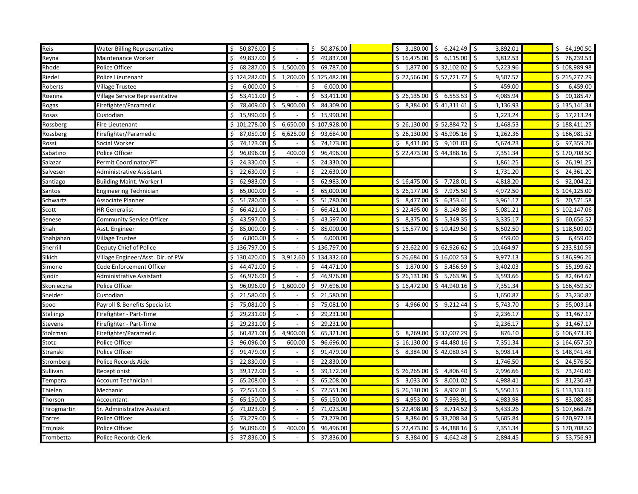| Reis        | Water Billing Representative      | \$50,876.00          | $\mathsf{S}$                     | 50,876.00       |                          | $$3,180.00 \& 6,242.49 \&$      | 3,892.01                        | \$64,190.50     |
|-------------|-----------------------------------|----------------------|----------------------------------|-----------------|--------------------------|---------------------------------|---------------------------------|-----------------|
| Reyna       | Maintenance Worker                | 49,837.00            | Ŝ.                               | 49,837.00       | \$16,475.00              | 6,115.00<br>S.                  | 3,812.53<br>\$                  | 76,239.53<br>\$ |
| Rhode       | Police Officer                    | 68,287.00<br>Ś.      | 1,500.00<br>\$                   | 69,787.00<br>Ŝ. | \$1,877.00               | \$32,102.02                     | 5,223.96<br>\$                  | \$108,989.98    |
| Riedel      | Police Lieutenant                 | \$124,282.00         | \$<br>1,200.00                   | \$125,482.00    | \$22,566.00              | \$ 57,721.72                    | 9,507.57<br>\$                  | \$215,277.29    |
| Roberts     | Village Trustee                   | 6,000.00<br>\$       | ۱\$                              | 6,000.00        |                          |                                 | 459.00<br>\$                    | 6,459.00<br>\$  |
| Roenna      | Village Service Representative    | 53,411.00            | l\$                              | 53,411.00<br>Ŝ  | \$26,135.00              | \$6,553.53                      | \$<br>4,085.94                  | 90,185.47<br>\$ |
| Rogas       | Firefighter/Paramedic             | Ś.<br>78,409.00      | \$<br>5,900.00                   | 84,309.00<br>Ŝ. | \$8,384.00               | \$41,311.41                     | S.<br>1,136.93                  | \$135,141.34    |
| Rosas       | Custodian                         | 15,990.00            | \$                               | 15,990.00<br>Ŝ. |                          |                                 | \$<br>1,223.24                  | \$17,213.24     |
| Rossberg    | Fire Lieutenant                   | \$101,278.00         | \$<br>6,650.00                   | \$107,928.00    | \$26,130.00              | \$ 52,884.72                    | \$<br>1,468.53                  | \$188,411.25    |
| Rossberg    | Firefighter/Paramedic             | \$7,059.00           | \$<br>6,625.00                   | 93,684.00<br>Ŝ. | \$26,130.00              | \$45,905.16                     | $\zeta$<br>1,262.36             | \$166,981.52    |
| Rossi       | Social Worker                     | 74,173.00<br>\$      | \$                               | 74,173.00<br>Ŝ. | \$3,411.00               | \$9,101.03                      | 5,674.23<br>-\$                 | \$97,359.26     |
| Sabatino    | Police Officer                    | 96,096.00<br>Ŝ.      | 400.00<br>Ś                      | 96,496.00<br>Ś. | \$22,473.00              | \$44,388.16                     | 7,351.34<br>Ś                   | \$170,708.50    |
| Salazar     | Permit Coordinator/PT             | 24,330.00            | ∣ \$                             | 24,330.00<br>Ś  |                          |                                 | \$<br>1,861.25                  | \$26,191.25     |
| Salvesen    | Administrative Assistant          | 22,630.00<br>\$      | l\$                              | 22,630.00       |                          |                                 | 1,731.20<br>\$                  | \$24,361.20     |
| Santiago    | <b>Building Maint. Worker I</b>   | 62,983.00            | ∣ \$                             | 62,983.00       | \$16,475.00              | \$<br>7,728.01                  | 4,818.20<br>\$                  | 92,004.21<br>\$ |
| Santos      | <b>Engineering Technician</b>     | 65,000.00<br>Ś.      | l \$                             | 65,000.00<br>Ś. | \$26,177.00              | 7,975.50<br>Ŝ.                  | 4,972.50<br>\$                  | \$104,125.00    |
| Schwartz    | Associate Planner                 | 51,780.00            | ۱\$                              | 51,780.00       | \$3,477.00               | \$<br>6,353.41                  | \$<br>3,961.17                  | \$70,571.58     |
| Scott       | <b>HR Generalist</b>              | $66,421.00$ \$<br>Ŝ. |                                  | 66,421.00<br>\$ | \$22,495.00              | 8,149.86<br>I\$                 | \$<br>5,081.21                  | \$102,147.06    |
| Senese      | Community Service Officer         | 43,597.00<br>\$      | \$                               | 43,597.00       | \$3,375.00               | $\ddot{\mathsf{s}}$<br>5,349.35 | 3,335.17<br>\$                  | \$60,656.52     |
| Shah        | Asst. Engineer                    | 85,000.00 \$<br>Ŝ    |                                  | 85,000.00<br>Ŝ. | \$16,577.00              | \$10,429.50                     | 6,502.50<br>Ŝ.                  | \$118,509.00    |
| Shahjahan   | <b>Village Trustee</b>            | 6,000.00<br>Ś.       | $\dot{\mathsf{s}}$               | 6,000.00<br>Ś   |                          |                                 | $\zeta$<br>459.00               | \$<br>6,459.00  |
| Sherrill    | Deputy Chief of Police            | $$136,797.00$ \$     |                                  | \$136,797.00    | \$23,622.00              | \$62,926.62                     | 10,464.97<br>\$                 | \$233,810.59    |
| Sikich      | Village Engineer/Asst. Dir. of PW | \$130,420.00         | \$3,912.60                       | \$134,332.60    | \$26,684.00              | \$16,002.53                     | $\ddot{\mathsf{S}}$<br>9,977.13 | \$186,996.26    |
| Simone      | Code Enforcement Officer          | 44,471.00            | ۱\$                              | 44,471.00       | \$1,870.00               | 5,456.59<br>l \$                | \$<br>3,402.03                  | \$5,199.62      |
| Sjodin      | Administrative Assistant          | 46,976.00<br>Ś.      | Ś.                               | 46,976.00<br>Ś. | \$26,131.00              | \$5,763.96                      | Ŝ.<br>3,593.66                  | \$2,464.62      |
| Skonieczna  | Police Officer                    | 96,096.00<br>Ś.      | \$1,600.00                       | 97,696.00<br>Ŝ. | \$16,472.00              | $\frac{1}{5}$ 44,940.16         | \$<br>7,351.34                  | \$166,459.50    |
| Sneider     | Custodian                         | 21,580.00<br>\$      | \$                               | Ś.<br>21,580.00 |                          |                                 | 1,650.87<br>\$                  | \$23,230.87     |
| Spoo        | Payroll & Benefits Specialist     | 75,081.00<br>Ŝ.      | \$                               | 75,081.00<br>S. | \$4,966.00               | \$<br>9,212.44                  | \$<br>5,743.70                  | \$95,003.14     |
| Stallings   | Firefighter - Part-Time           | 29,231.00<br>Ŝ.      | l \$                             | 29,231.00<br>Ŝ. |                          |                                 | \$<br>2,236.17                  | 31,467.17<br>\$ |
| Stevens     | Firefighter - Part-Time           | 29,231.00<br>Ś.      | \$                               | 29,231.00<br>Ś. |                          |                                 | $\zeta$<br>2,236.17             | \$31,467.17     |
| Stolzman    | Firefighter/Paramedic             | 60,421.00            | 4,900.00<br>\$                   | 65,321.00       | \$3,269.00               | \$32,007.29                     | \$<br>876.10                    | \$106,473.39    |
| Stotz       | Police Officer                    | 96,096.00<br>\$      | \$<br>600.00                     | 96,696.00<br>\$ | \$16,130.00              | \$44,480.16                     | \$<br>7,351.34                  | \$164,657.50    |
| Stranski    | Police Officer                    | 91,479.00            | \$ ا                             | 91,479.00       | 8,384.00<br>\$           | \$42,080.34                     | \$<br>6,998.14                  | \$148,941.48    |
| Stromberg   | Police Records Aide               | 22,830.00            | ۱\$                              | 22,830.00       |                          |                                 | 1,746.50<br>.\$                 | \$24,576.50     |
| Sullivan    | Receptionist                      | 39,172.00            | l \$<br>$\overline{\phantom{a}}$ | 39,172.00<br>Ś. | $\overline{$}$ 26,265.00 | 4,806.40<br>\$                  | \$<br>2,996.66                  | \$73,240.06     |
| Tempera     | Account Technician I              | $65,208.00$ \$<br>Ŝ  |                                  | 65,208.00<br>\$ | \$3,033.00               | \$8,001.02                      | I\$<br>4,988.41                 | \$31,230.43     |
| Thielen     | Mechanic                          | 72,551.00<br>Ś.      | \$                               | 72,551.00<br>Ś. | \$26,130.00              | \$8,902.01                      | \$<br>5,550.15                  | \$113,133.16    |
| Thorson     | Accountant                        | 65,150.00<br>Ś.      | l \$                             | 65,150.00<br>Ś. | \$4,953.00               | \$7,993.91                      | -\$<br>4,983.98                 | \$3,080.88      |
| Throgmartin | Sr. Administrative Assistant      | Ś.<br>71,023.00      | $\mathsf{S}$                     | 71,023.00<br>Ś. | \$22,498.00              | $\sqrt{5}$ 8,714.52             | \$<br>5,433.26                  | \$107,668.78    |
| Torres      | Police Officer                    | 73,279.00            | \$ ا                             | 73,279.00       | \$3,384.00               | \$33,708.34                     | \$<br>5,605.84                  | \$120,977.18    |
| Trojniak    | Police Officer                    | \$<br>96,096.00      | \$ ا<br>400.00                   | 96,496.00<br>\$ | \$22,473.00              | \$44,388.16                     | \$<br>7,351.34                  | \$170,708.50    |
| Trombetta   | Police Records Clerk              | 37,836.00 \$         |                                  | 37,836.00<br>Ś  | \$8,384.00               | 4,642.48                        | -\$<br>2,894.45                 | \$53,756.93     |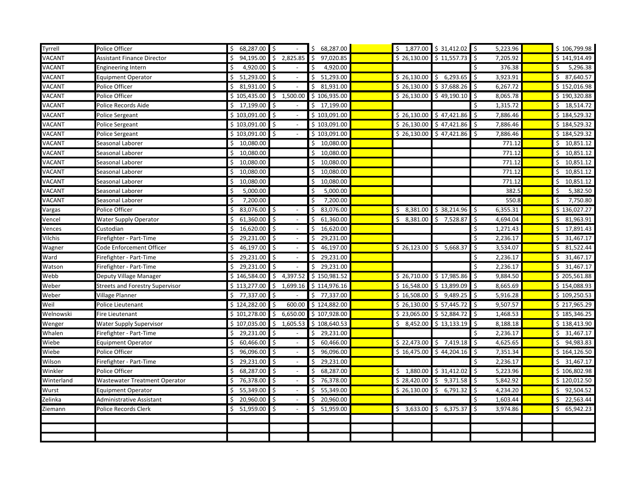| Tyrrell    | Police Officer                         | \$68,287.00                      |                                 | \$68,287.00              |             | \$1,877.00 \$31,412.02 \$ | 5,223.96       | \$106,799.98    |
|------------|----------------------------------------|----------------------------------|---------------------------------|--------------------------|-------------|---------------------------|----------------|-----------------|
| VACANT     | <b>Assistant Finance Director</b>      | 94,195.00                        | I\$<br>2,825.85                 | 97,020.85<br>\$          | \$26,130.00 | \$11,557.73               | \$<br>7,205.92 | \$141,914.49    |
| VACANT     | <b>Engineering Intern</b>              | $4,920.00$ \$                    |                                 | Ŝ.<br>4,920.00           |             |                           | Ś<br>376.38    | Ś.<br>5,296.38  |
| VACANT     | <b>Equipment Operator</b>              | 51,293.00 \$                     |                                 | $\overline{5}$ 51,293.00 | \$26,130.00 | \$6,293.65                | \$<br>3,923.91 | \$7,640.57      |
| VACANT     | Police Officer                         | $$31,931.00$ \$                  |                                 | \$31,931.00              |             | $$26,130.00$ $$37,688.26$ | \$<br>6,267.72 | \$152,016.98    |
| VACANT     | Police Officer                         | \$105,435.00                     | $\frac{1}{5}$ 1,500.00          | \$106,935.00             | \$26,130.00 | \$49,190.10               | \$<br>8,065.78 | \$190,320.88    |
| VACANT     | Police Records Aide                    | \$17,199.00                      | S.                              | 17,199.00<br>Ŝ.          |             |                           | Ś<br>1,315.72  | \$18,514.72     |
| VACANT     | Police Sergeant                        | \$103,091.00                     | l\$<br>$\overline{\phantom{a}}$ | \$103,091.00             | \$26,130.00 | \$47,421.86               | \$<br>7,886.46 | \$184,529.32    |
| VACANT     | Police Sergeant                        | $$103,091.00$ \$                 |                                 | \$103,091.00             | \$26,130.00 | \$47,421.86               | \$<br>7,886.46 | \$184,529.32    |
| VACANT     | Police Sergeant                        | \$103,091.00                     | $\sqrt{5}$                      | \$103,091.00             | \$26,130.00 | \$47,421.86               | \$<br>7,886.46 | \$184,529.32    |
| VACANT     | Seasonal Laborer                       | 10,080.00                        |                                 | 10,080.00<br>\$          |             |                           | 771.12         | \$10,851.12     |
| VACANT     | Seasonal Laborer                       | $\ddot{\mathsf{S}}$<br>10,080.00 |                                 | \$<br>10,080.00          |             |                           | 771.12         | \$10,851.12     |
| VACANT     | Seasonal Laborer                       | 10,080.00                        |                                 | \$<br>10,080.00          |             |                           | 771.12         | \$10,851.12     |
| VACANT     | Seasonal Laborer                       | 10,080.00                        |                                 | 10,080.00<br>\$          |             |                           | 771.12         | 10,851.12<br>\$ |
| VACANT     | Seasonal Laborer                       | 10,080.00                        |                                 | \$<br>10,080.00          |             |                           | 771.12         | 10,851.12<br>\$ |
| VACANT     | Seasonal Laborer                       | 5,000.00                         |                                 | 5,000.00<br>\$           |             |                           | 382.5          | 5,382.50        |
| VACANT     | Seasonal Laborer                       | 7,200.00                         |                                 | \$<br>7,200.00           |             |                           | 550.8          | Ś<br>7,750.80   |
| Vargas     | Police Officer                         | 83,076.00 \$                     |                                 | \$83,076.00              | \$3,381.00  | \$38,214.96               | 6,355.31<br>\$ | \$136,027.27    |
| Vencel     | Water Supply Operator                  | $61,360.00$ \$<br>Ś.             |                                 | 61,360.00<br>\$          | \$3,381.00  | \$7,528.87                | \$<br>4,694.04 | \$31,963.91     |
| √ences     | Custodian                              | 16,620.00                        | $\ddot{\mathbf{5}}$             | 16,620.00<br>\$          |             |                           | 1,271.43<br>\$ | \$17,891.43     |
| Vilchis    | Firefighter - Part-Time                | 29,231.00                        | $\vert$ \$                      | 29,231.00<br>\$          |             |                           | \$<br>2,236.17 | \$31,467.17     |
| Wagner     | Code Enforcement Officer               | 46,197.00 \$                     |                                 | 46,197.00<br>Ŝ.          | \$26,123.00 | \$5,668.37                | \$<br>3,534.07 | \$31,522.44     |
| Ward       | Firefighter - Part-Time                | 29,231.00 \$                     |                                 | 29,231.00<br>\$          |             |                           | \$<br>2,236.17 | \$<br>31,467.17 |
| Watson     | Firefighter - Part-Time                | 29,231.00 \$<br>Ś.               |                                 | 29,231.00<br>\$          |             |                           | \$<br>2,236.17 | \$31,467.17     |
| Webb       | Deputy Village Manager                 | \$146,584.00                     | \$<br>4,397.52                  | \$150,981.52             | \$26,710.00 | \$17,985.86               | \$<br>9,884.50 | \$205,561.88    |
| Weber      | <b>Streets and Forestry Supervisor</b> | \$113,277.00                     | \$<br>1,699.16                  | \$114,976.16             | \$16,548.00 | \$13,899.09               | Ś<br>8,665.69  | \$154,088.93    |
| Weber      | Village Planner                        | \$77,337.00                      | l\$                             | \$77,337.00              | \$16,508.00 | \$9,489.25                | \$<br>5,916.28 | \$109,250.53    |
| Weil       | Police Lieutenant                      | \$124,282.00                     | Ŝ.<br>600.00                    | \$124,882.00             | \$26,130.00 | \$57,445.72               | \$<br>9,507.57 | \$217,965.29    |
| Welnowski  | Fire Lieutenant                        | \$101,278.00                     | \$<br>6,650.00                  | \$107,928.00             | \$23,065.00 | \$52,884.72               | \$<br>1,468.53 | \$185,346.25    |
| Wenger     | <b>Water Supply Supervisor</b>         | \$107,035.00                     | \$<br>1,605.53                  | \$108,640.53             | \$3,452.00  | \$13,133.19               | \$<br>8,188.18 | \$138,413.90    |
| Whalen     | Firefighter - Part-Time                | 29,231.00<br>Ś.                  | $\mathsf{S}$                    | Ŝ.<br>29,231.00          |             |                           | Ś<br>2,236.17  | \$31,467.17     |
| Wiebe      | <b>Equipment Operator</b>              | 60,466.00                        | $\mathsf{S}$                    | \$<br>60,466.00          | \$22,473.00 | $\frac{1}{2}$ 7,419.18    | \$<br>4,625.65 | \$94,983.83     |
| Wiebe      | Police Officer                         | 96,096.00 \$                     |                                 | 96,096.00<br>\$          | \$16,475.00 | \$44,204.16               | \$<br>7,351.34 | \$164,126.50    |
| Wilson     | Firefighter - Part-Time                | 29,231.00<br>Ś                   | $\ddot{\mathsf{S}}$             | 29,231.00<br>Ś.          |             |                           | 2,236.17<br>\$ | \$31,467.17     |
| Winkler    | Police Officer                         | 68,287.00                        | $\mathsf{S}$                    | 68,287.00<br>Ś           | \$1,880.00  | \$31,412.02               | 5,223.96<br>\$ | \$106,802.98    |
| Winterland | <b>Wastewater Treatment Operator</b>   | 76,378.00                        | l \$                            | \$<br>76,378.00          | \$28,420.00 | \$9,371.58                | \$<br>5,842.92 | \$120,012.50    |
| Wurst      | <b>Equipment Operator</b>              | 55,349.00                        | $\sqrt{ }$                      | \$<br>55,349.00          | \$26,130.00 | \$<br>6,791.32            | \$<br>4,234.20 | \$92,504.52     |
| Zelinka    | Administrative Assistant               | 20,960.00 \$                     |                                 | \$<br>20,960.00          |             |                           | \$<br>1,603.44 | \$22,563.44     |
| Ziemann    | Police Records Clerk                   | 51,959.00                        | \$                              | 51,959.00<br>Ŝ.          | \$3,633.00  | \$6,375.37                | \$<br>3,974.86 | \$65,942.23     |
|            |                                        |                                  |                                 |                          |             |                           |                |                 |
|            |                                        |                                  |                                 |                          |             |                           |                |                 |
|            |                                        |                                  |                                 |                          |             |                           |                |                 |